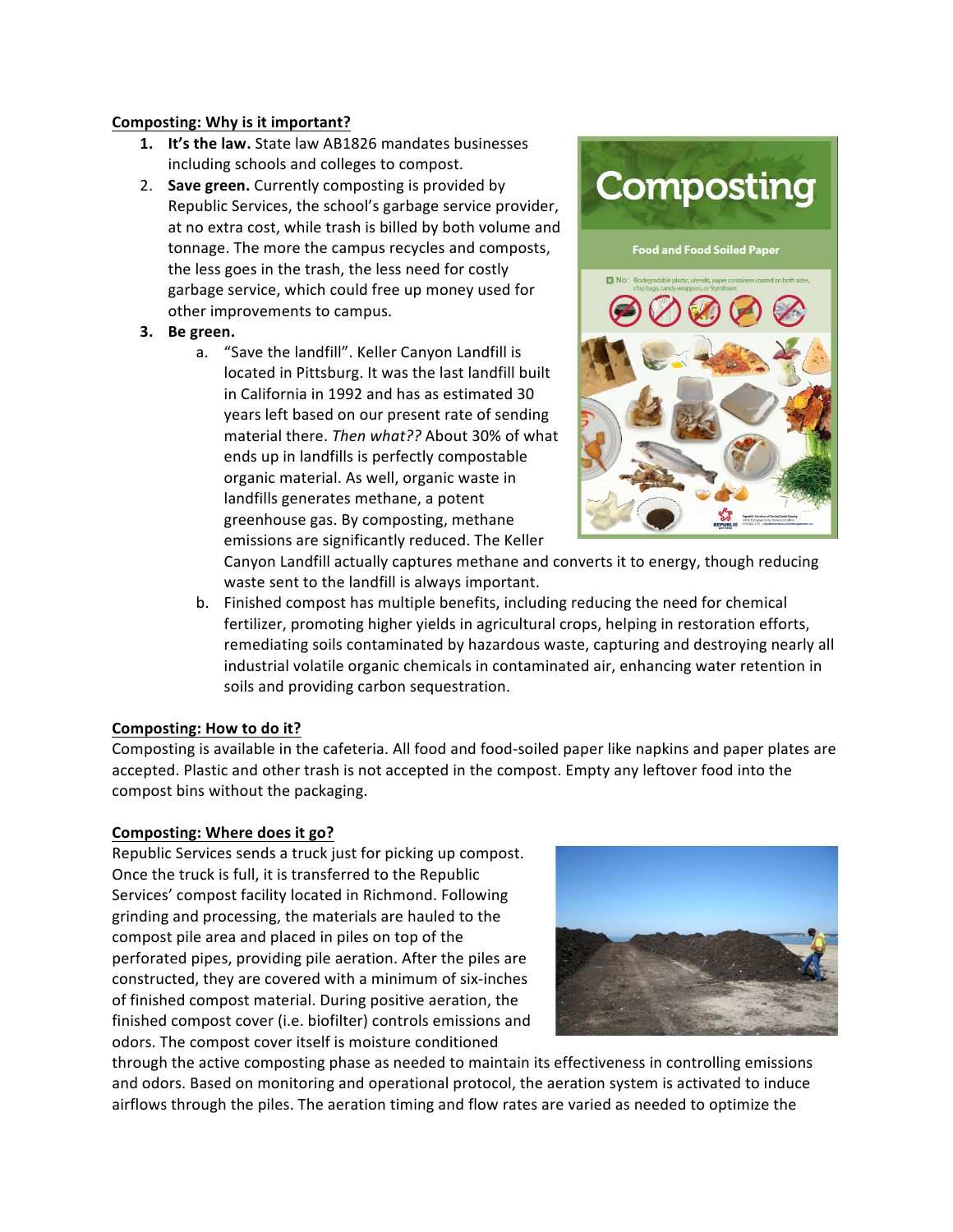## **Composting: Why is it important?**

- **1. It's the law.** State law AB1826 mandates businesses including schools and colleges to compost.
- 2. **Save green.** Currently composting is provided by Republic Services, the school's garbage service provider, at no extra cost, while trash is billed by both volume and tonnage. The more the campus recycles and composts, the less goes in the trash, the less need for costly garbage service, which could free up money used for other improvements to campus.

## **3.** Be green.

a. "Save the landfill". Keller Canyon Landfill is located in Pittsburg. It was the last landfill built in California in 1992 and has as estimated 30 years left based on our present rate of sending material there. Then what?? About 30% of what ends up in landfills is perfectly compostable organic material. As well, organic waste in landfills generates methane, a potent greenhouse gas. By composting, methane emissions are significantly reduced. The Keller



Canyon Landfill actually captures methane and converts it to energy, though reducing waste sent to the landfill is always important.

b. Finished compost has multiple benefits, including reducing the need for chemical fertilizer, promoting higher yields in agricultural crops, helping in restoration efforts, remediating soils contaminated by hazardous waste, capturing and destroying nearly all industrial volatile organic chemicals in contaminated air, enhancing water retention in soils and providing carbon sequestration.

## **Composting: How to do it?**

Composting is available in the cafeteria. All food and food-soiled paper like napkins and paper plates are accepted. Plastic and other trash is not accepted in the compost. Empty any leftover food into the compost bins without the packaging.

## **Composting: Where does it go?**

Republic Services sends a truck just for picking up compost. Once the truck is full, it is transferred to the Republic Services' compost facility located in Richmond. Following grinding and processing, the materials are hauled to the compost pile area and placed in piles on top of the perforated pipes, providing pile aeration. After the piles are constructed, they are covered with a minimum of six-inches of finished compost material. During positive aeration, the finished compost cover (i.e. biofilter) controls emissions and odors. The compost cover itself is moisture conditioned



through the active composting phase as needed to maintain its effectiveness in controlling emissions and odors. Based on monitoring and operational protocol, the aeration system is activated to induce airflows through the piles. The aeration timing and flow rates are varied as needed to optimize the